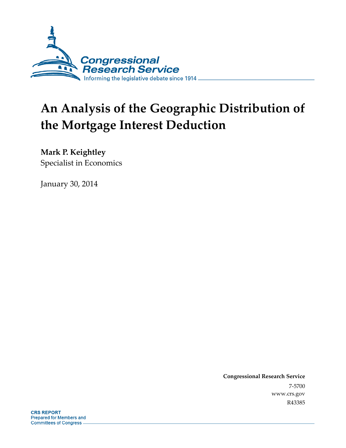

# **An Analysis of the Geographic Distribution of the Mortgage Interest Deduction**

**Mark P. Keightley** 

Specialist in Economics

January 30, 2014

**Congressional Research Service**  7-5700 www.crs.gov R43385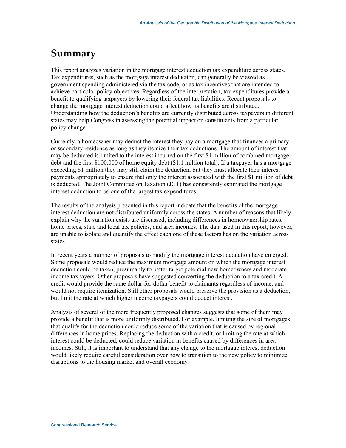## **Summary**

This report analyzes variation in the mortgage interest deduction tax expenditure across states. Tax expenditures, such as the mortgage interest deduction, can generally be viewed as government spending administered via the tax code, or as tax incentives that are intended to achieve particular policy objectives. Regardless of the interpretation, tax expenditures provide a benefit to qualifying taxpayers by lowering their federal tax liabilities. Recent proposals to change the mortgage interest deduction could affect how its benefits are distributed. Understanding how the deduction's benefits are currently distributed across taxpayers in different states may help Congress in assessing the potential impact on constituents from a particular policy change.

Currently, a homeowner may deduct the interest they pay on a mortgage that finances a primary or secondary residence as long as they itemize their tax deductions. The amount of interest that may be deducted is limited to the interest incurred on the first \$1 million of combined mortgage debt and the first \$100,000 of home equity debt (\$1.1 million total). If a taxpayer has a mortgage exceeding \$1 million they may still claim the deduction, but they must allocate their interest payments appropriately to ensure that only the interest associated with the first \$1 million of debt is deducted. The Joint Committee on Taxation (JCT) has consistently estimated the mortgage interest deduction to be one of the largest tax expenditures.

The results of the analysis presented in this report indicate that the benefits of the mortgage interest deduction are not distributed uniformly across the states. A number of reasons that likely explain why the variation exists are discussed, including differences in homeownership rates, home prices, state and local tax policies, and area incomes. The data used in this report, however, are unable to isolate and quantify the effect each one of these factors has on the variation across states.

In recent years a number of proposals to modify the mortgage interest deduction have emerged. Some proposals would reduce the maximum mortgage amount on which the mortgage interest deduction could be taken, presumably to better target potential new homeowners and moderate income taxpayers. Other proposals have suggested converting the deduction to a tax credit. A credit would provide the same dollar-for-dollar benefit to claimants regardless of income, and would not require itemization. Still other proposals would preserve the provision as a deduction, but limit the rate at which higher income taxpayers could deduct interest.

Analysis of several of the more frequently proposed changes suggests that some of them may provide a benefit that is more uniformly distributed. For example, limiting the size of mortgages that qualify for the deduction could reduce some of the variation that is caused by regional differences in home prices. Replacing the deduction with a credit, or limiting the rate at which interest could be deducted, could reduce variation in benefits caused by differences in area incomes. Still, it is important to understand that any change to the mortgage interest deduction would likely require careful consideration over how to transition to the new policy to minimize disruptions to the housing market and overall economy.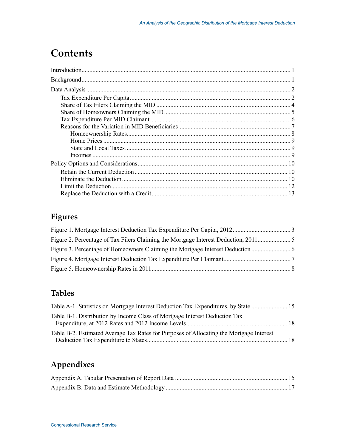## **Contents**

## **Figures**

### **Tables**

| Table A-1. Statistics on Mortgage Interest Deduction Tax Expenditures, by State         |  |
|-----------------------------------------------------------------------------------------|--|
| Table B-1. Distribution by Income Class of Mortgage Interest Deduction Tax              |  |
| Table B-2. Estimated Average Tax Rates for Purposes of Allocating the Mortgage Interest |  |

## **Appendixes**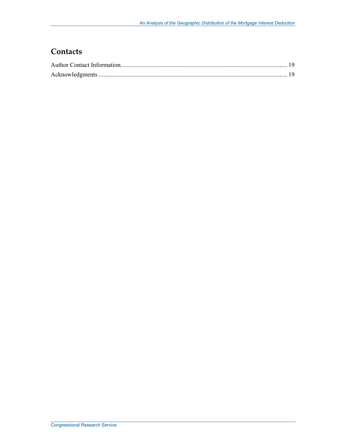### **Contacts**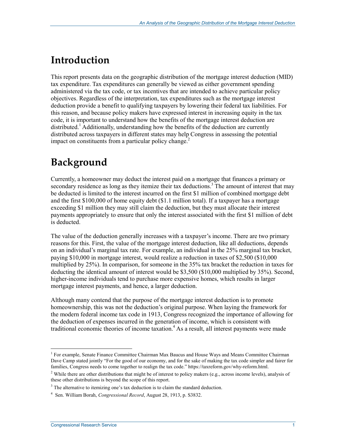## **Introduction**

This report presents data on the geographic distribution of the mortgage interest deduction (MID) tax expenditure. Tax expenditures can generally be viewed as either government spending administered via the tax code, or tax incentives that are intended to achieve particular policy objectives. Regardless of the interpretation, tax expenditures such as the mortgage interest deduction provide a benefit to qualifying taxpayers by lowering their federal tax liabilities. For this reason, and because policy makers have expressed interest in increasing equity in the tax code, it is important to understand how the benefits of the mortgage interest deduction are distributed.<sup>1</sup> Additionally, understanding how the benefits of the deduction are currently distributed across taxpayers in different states may help Congress in assessing the potential impact on constituents from a particular policy change. $<sup>2</sup>$ </sup>

## **Background**

Currently, a homeowner may deduct the interest paid on a mortgage that finances a primary or secondary residence as long as they itemize their tax deductions.<sup>3</sup> The amount of interest that may be deducted is limited to the interest incurred on the first \$1 million of combined mortgage debt and the first \$100,000 of home equity debt (\$1.1 million total). If a taxpayer has a mortgage exceeding \$1 million they may still claim the deduction, but they must allocate their interest payments appropriately to ensure that only the interest associated with the first \$1 million of debt is deducted.

The value of the deduction generally increases with a taxpayer's income. There are two primary reasons for this. First, the value of the mortgage interest deduction, like all deductions, depends on an individual's marginal tax rate. For example, an individual in the 25% marginal tax bracket, paying \$10,000 in mortgage interest, would realize a reduction in taxes of \$2,500 (\$10,000 multiplied by 25%). In comparison, for someone in the 35% tax bracket the reduction in taxes for deducting the identical amount of interest would be \$3,500 (\$10,000 multiplied by 35%). Second, higher-income individuals tend to purchase more expensive homes, which results in larger mortgage interest payments, and hence, a larger deduction.

Although many contend that the purpose of the mortgage interest deduction is to promote homeownership, this was not the deduction's original purpose. When laying the framework for the modern federal income tax code in 1913, Congress recognized the importance of allowing for the deduction of expenses incurred in the generation of income, which is consistent with traditional economic theories of income taxation.<sup>4</sup> As a result, all interest payments were made

<sup>1&</sup>lt;br><sup>1</sup> For example, Senate Finance Committee Chairman Max Baucus and House Ways and Means Committee Chairman Dave Camp stated jointly "For the good of our economy, and for the sake of making the tax code simpler and fairer for families, Congress needs to come together to realign the tax code." https://taxreform.gov/why-reform.html.

<sup>&</sup>lt;sup>2</sup> While there are other distributions that might be of interest to policy makers (e.g., across income levels), analysis of these other distributions is beyond the scope of this report.

 $3$  The alternative to itemizing one's tax deduction is to claim the standard deduction.

<sup>4</sup> Sen. William Borah, *Congressional Record*, August 28, 1913, p. S3832.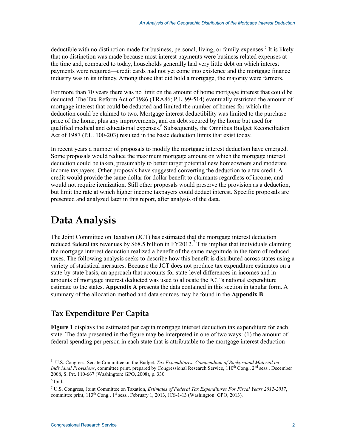deductible with no distinction made for business, personal, living, or family expenses.<sup>5</sup> It is likely that no distinction was made because most interest payments were business related expenses at the time and, compared to today, households generally had very little debt on which interest payments were required—credit cards had not yet come into existence and the mortgage finance industry was in its infancy. Among those that did hold a mortgage, the majority were farmers.

For more than 70 years there was no limit on the amount of home mortgage interest that could be deducted. The Tax Reform Act of 1986 (TRA86; P.L. 99-514) eventually restricted the amount of mortgage interest that could be deducted and limited the number of homes for which the deduction could be claimed to two. Mortgage interest deductibility was limited to the purchase price of the home, plus any improvements, and on debt secured by the home but used for qualified medical and educational expenses.<sup>6</sup> Subsequently, the Omnibus Budget Reconciliation Act of 1987 (P.L. 100-203) resulted in the basic deduction limits that exist today.

In recent years a number of proposals to modify the mortgage interest deduction have emerged. Some proposals would reduce the maximum mortgage amount on which the mortgage interest deduction could be taken, presumably to better target potential new homeowners and moderate income taxpayers. Other proposals have suggested converting the deduction to a tax credit. A credit would provide the same dollar for dollar benefit to claimants regardless of income, and would not require itemization. Still other proposals would preserve the provision as a deduction, but limit the rate at which higher income taxpayers could deduct interest. Specific proposals are presented and analyzed later in this report, after analysis of the data.

## **Data Analysis**

The Joint Committee on Taxation (JCT) has estimated that the mortgage interest deduction reduced federal tax revenues by \$68.5 billion in  $FY2012$ .<sup>7</sup> This implies that individuals claiming the mortgage interest deduction realized a benefit of the same magnitude in the form of reduced taxes. The following analysis seeks to describe how this benefit is distributed across states using a variety of statistical measures. Because the JCT does not produce tax expenditure estimates on a state-by-state basis, an approach that accounts for state-level differences in incomes and in amounts of mortgage interest deducted was used to allocate the JCT's national expenditure estimate to the states. **Appendix A** presents the data contained in this section in tabular form. A summary of the allocation method and data sources may be found in the **Appendix B**.

### **Tax Expenditure Per Capita**

**Figure 1** displays the estimated per capita mortgage interest deduction tax expenditure for each state. The data presented in the figure may be interpreted in one of two ways: (1) the amount of federal spending per person in each state that is attributable to the mortgage interest deduction

1

<sup>5</sup> U.S. Congress, Senate Committee on the Budget, *Tax Expenditures: Compendium of Background Material on Individual Provisions*, committee print, prepared by Congressional Research Service, 110<sup>th</sup> Cong., 2<sup>nd</sup> sess., December 2008, S. Prt. 110-667 (Washington: GPO, 2008), p. 330.

<sup>6</sup> Ibid.

<sup>7</sup> U.S. Congress, Joint Committee on Taxation, *Estimates of Federal Tax Expenditures For Fiscal Years 2012-2017*, committee print, 113<sup>th</sup> Cong., 1<sup>st</sup> sess., February 1, 2013, JCS-1-13 (Washington: GPO, 2013).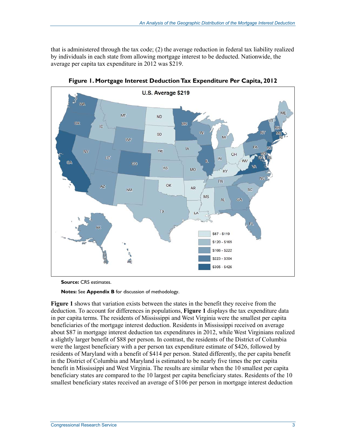that is administered through the tax code; (2) the average reduction in federal tax liability realized by individuals in each state from allowing mortgage interest to be deducted. Nationwide, the average per capita tax expenditure in 2012 was \$219.



**Figure 1. Mortgage Interest Deduction Tax Expenditure Per Capita, 2012** 

**Source:** CRS estimates.

**Notes:** See **Appendix B** for discussion of methodology.

**Figure 1** shows that variation exists between the states in the benefit they receive from the deduction. To account for differences in populations, **Figure 1** displays the tax expenditure data in per capita terms. The residents of Mississippi and West Virginia were the smallest per capita beneficiaries of the mortgage interest deduction. Residents in Mississippi received on average about \$87 in mortgage interest deduction tax expenditures in 2012, while West Virginians realized a slightly larger benefit of \$88 per person. In contrast, the residents of the District of Columbia were the largest beneficiary with a per person tax expenditure estimate of \$426, followed by residents of Maryland with a benefit of \$414 per person. Stated differently, the per capita benefit in the District of Columbia and Maryland is estimated to be nearly five times the per capita benefit in Mississippi and West Virginia. The results are similar when the 10 smallest per capita beneficiary states are compared to the 10 largest per capita beneficiary states. Residents of the 10 smallest beneficiary states received an average of \$106 per person in mortgage interest deduction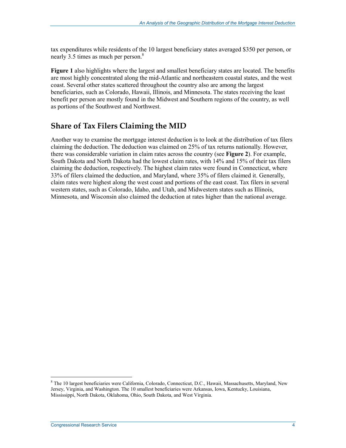tax expenditures while residents of the 10 largest beneficiary states averaged \$350 per person, or nearly 3.5 times as much per person.<sup>8</sup>

**Figure 1** also highlights where the largest and smallest beneficiary states are located. The benefits are most highly concentrated along the mid-Atlantic and northeastern coastal states, and the west coast. Several other states scattered throughout the country also are among the largest beneficiaries, such as Colorado, Hawaii, Illinois, and Minnesota. The states receiving the least benefit per person are mostly found in the Midwest and Southern regions of the country, as well as portions of the Southwest and Northwest.

### **Share of Tax Filers Claiming the MID**

Another way to examine the mortgage interest deduction is to look at the distribution of tax filers claiming the deduction. The deduction was claimed on 25% of tax returns nationally. However, there was considerable variation in claim rates across the country (see **Figure 2**). For example, South Dakota and North Dakota had the lowest claim rates, with 14% and 15% of their tax filers claiming the deduction, respectively. The highest claim rates were found in Connecticut, where 33% of filers claimed the deduction, and Maryland, where 35% of filers claimed it. Generally, claim rates were highest along the west coast and portions of the east coast. Tax filers in several western states, such as Colorado, Idaho, and Utah, and Midwestern states such as Illinois, Minnesota, and Wisconsin also claimed the deduction at rates higher than the national average.

1

<sup>&</sup>lt;sup>8</sup> The 10 largest beneficiaries were California, Colorado, Connecticut, D.C., Hawaii, Massachusetts, Maryland, New Jersey, Virginia, and Washington. The 10 smallest beneficiaries were Arkansas, Iowa, Kentucky, Louisiana, Mississippi, North Dakota, Oklahoma, Ohio, South Dakota, and West Virginia.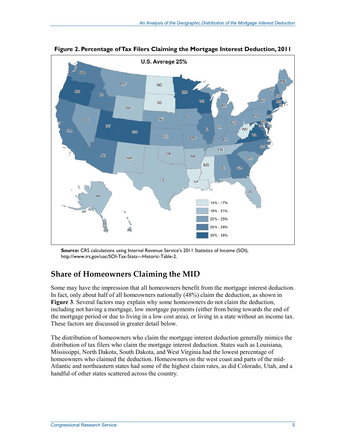

**Figure 2. Percentage of Tax Filers Claiming the Mortgage Interest Deduction, 2011** 

**Source:** CRS calculations using Internal Revenue Service's 2011 Statistics of Income (SOI), http://www.irs.gov/uac/SOI-Tax-Stats---Historic-Table-2.

### **Share of Homeowners Claiming the MID**

Some may have the impression that all homeowners benefit from the mortgage interest deduction. In fact, only about half of all homeowners nationally (48%) claim the deduction, as shown in **Figure 3**. Several factors may explain why some homeowners do not claim the deduction, including not having a mortgage, low mortgage payments (either from being towards the end of the mortgage period or due to living in a low cost area), or living in a state without an income tax. These factors are discussed in greater detail below.

The distribution of homeowners who claim the mortgage interest deduction generally mimics the distribution of tax filers who claim the mortgage interest deduction. States such as Louisiana, Mississippi, North Dakota, South Dakota, and West Virginia had the lowest percentage of homeowners who claimed the deduction. Homeowners on the west coast and parts of the mid-Atlantic and northeastern states had some of the highest claim rates, as did Colorado, Utah, and a handful of other states scattered across the country.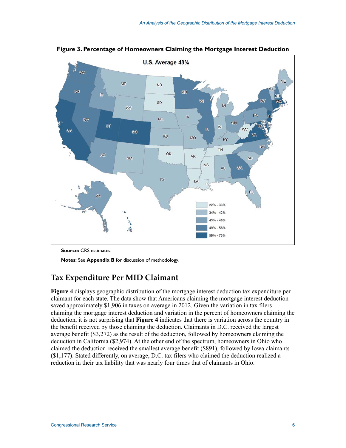

**Figure 3. Percentage of Homeowners Claiming the Mortgage Interest Deduction** 

**Source:** CRS estimates.

**Notes:** See **Appendix B** for discussion of methodology.

### **Tax Expenditure Per MID Claimant**

**Figure 4** displays geographic distribution of the mortgage interest deduction tax expenditure per claimant for each state. The data show that Americans claiming the mortgage interest deduction saved approximately \$1,906 in taxes on average in 2012. Given the variation in tax filers claiming the mortgage interest deduction and variation in the percent of homeowners claiming the deduction, it is not surprising that **Figure 4** indicates that there is variation across the country in the benefit received by those claiming the deduction. Claimants in D.C. received the largest average benefit (\$3,272) as the result of the deduction, followed by homeowners claiming the deduction in California (\$2,974). At the other end of the spectrum, homeowners in Ohio who claimed the deduction received the smallest average benefit (\$891), followed by Iowa claimants (\$1,177). Stated differently, on average, D.C. tax filers who claimed the deduction realized a reduction in their tax liability that was nearly four times that of claimants in Ohio.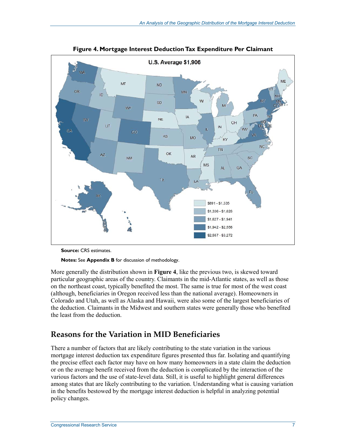

**Figure 4. Mortgage Interest Deduction Tax Expenditure Per Claimant** 

**Source:** CRS estimates.

**Notes:** See **Appendix B** for discussion of methodology.

More generally the distribution shown in **Figure 4**, like the previous two, is skewed toward particular geographic areas of the country. Claimants in the mid-Atlantic states, as well as those on the northeast coast, typically benefited the most. The same is true for most of the west coast (although, beneficiaries in Oregon received less than the national average). Homeowners in Colorado and Utah, as well as Alaska and Hawaii, were also some of the largest beneficiaries of the deduction. Claimants in the Midwest and southern states were generally those who benefited the least from the deduction.

#### **Reasons for the Variation in MID Beneficiaries**

There a number of factors that are likely contributing to the state variation in the various mortgage interest deduction tax expenditure figures presented thus far. Isolating and quantifying the precise effect each factor may have on how many homeowners in a state claim the deduction or on the average benefit received from the deduction is complicated by the interaction of the various factors and the use of state-level data. Still, it is useful to highlight general differences among states that are likely contributing to the variation. Understanding what is causing variation in the benefits bestowed by the mortgage interest deduction is helpful in analyzing potential policy changes.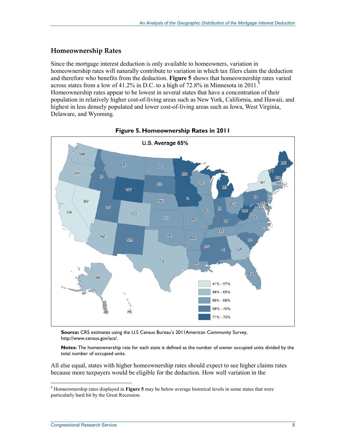#### **Homeownership Rates**

Since the mortgage interest deduction is only available to homeowners, variation in homeownership rates will naturally contribute to variation in which tax filers claim the deduction and therefore who benefits from the deduction. **Figure 5** shows that homeownership rates varied across states from a low of 41.2% in D.C. to a high of 72.8% in Minnesota in 2011.<sup>9</sup> Homeownership rates appear to be lowest in several states that have a concentration of their population in relatively higher cost-of-living areas such as New York, California, and Hawaii, and highest in less densely populated and lower cost-of-living areas such as Iowa, West Virginia, Delaware, and Wyoming.





**Source:** CRS estimates using the U.S Census Bureau's 2011American Community Survey, http://www.census.gov/acs/.

**Notes:** The homeownership rate for each state is defined as the number of owner occupied units divided by the total number of occupied units.

All else equal, states with higher homeownership rates should expect to see higher claims rates because more taxpayers would be eligible for the deduction. How well variation in the

 9 Homeownership rates displayed in **Figure 5** may be below average historical levels in some states that were particularly hard hit by the Great Recession.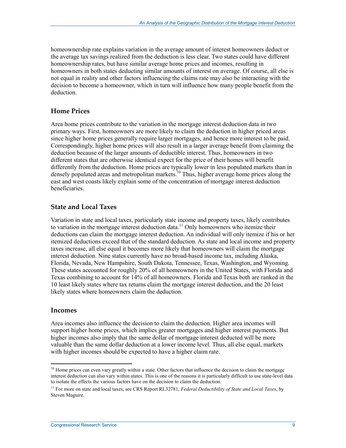homeownership rate explains variation in the average amount of interest homeowners deduct or the average tax savings realized from the deduction is less clear. Two states could have different homeownership rates, but have similar average home prices and incomes, resulting in homeowners in both states deducting similar amounts of interest on average. Of course, all else is not equal in reality and other factors influencing the claims rate may also be interacting with the decision to become a homeowner, which in turn will influence how many people benefit from the deduction.

#### **Home Prices**

Area home prices contribute to the variation in the mortgage interest deduction data in two primary ways. First, homeowners are more likely to claim the deduction in higher priced areas since higher home prices generally require larger mortgages, and hence more interest to be paid. Correspondingly, higher home prices will also result in a larger average benefit from claiming the deduction because of the larger amounts of deductible interest. Thus, homeowners in two different states that are otherwise identical expect for the price of their homes will benefit differently from the deduction. Home prices are typically lower in less populated markets than in densely populated areas and metropolitan markets.<sup>10</sup> Thus, higher average home prices along the east and west coasts likely explain some of the concentration of mortgage interest deduction beneficiaries.

#### **State and Local Taxes**

Variation in state and local taxes, particularly state income and property taxes, likely contributes to variation in the mortgage interest deduction data.<sup>11</sup> Only homeowners who itemize their deductions can claim the mortgage interest deduction. An individual will only itemize if his or her itemized deductions exceed that of the standard deduction. As state and local income and property taxes increase, all else equal it becomes more likely that homeowners will claim the mortgage interest deduction. Nine states currently have no broad-based income tax, including Alaska, Florida, Nevada, New Hampshire, South Dakota, Tennessee, Texas, Washington, and Wyoming. These states accounted for roughly 20% of all homeowners in the United States, with Florida and Texas combining to account for 14% of all homeowners. Florida and Texas both are ranked in the 10 least likely states where tax returns claim the mortgage interest deduction, and the 20 least likely states where homeowners claim the deduction.

#### **Incomes**

1

Area incomes also influence the decision to claim the deduction. Higher area incomes will support higher home prices, which implies greater mortgages and higher interest payments. But higher incomes also imply that the same dollar of mortgage interest deducted will be more valuable than the same dollar deduction at a lower income level. Thus, all else equal, markets with higher incomes should be expected to have a higher claim rate.

 $10$  Home prices can even vary greatly within a state. Other factors that influence the decision to claim the mortgage interest deduction can also vary within states. This is one of the reasons it is particularly difficult to use state-level data to isolate the effects the various factors have on the decision to claim the deduction.

<sup>11</sup> For more on state and local taxes, see CRS Report RL32781, *Federal Deductibility of State and Local Taxes*, by Steven Maguire.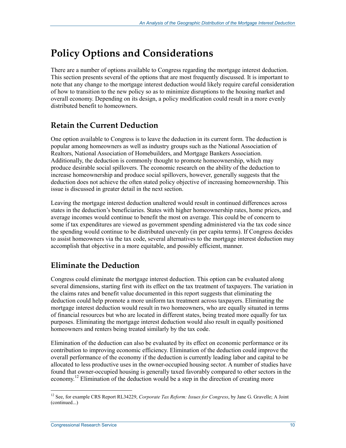## **Policy Options and Considerations**

There are a number of options available to Congress regarding the mortgage interest deduction. This section presents several of the options that are most frequently discussed. It is important to note that any change to the mortgage interest deduction would likely require careful consideration of how to transition to the new policy so as to minimize disruptions to the housing market and overall economy. Depending on its design, a policy modification could result in a more evenly distributed benefit to homeowners.

### **Retain the Current Deduction**

One option available to Congress is to leave the deduction in its current form. The deduction is popular among homeowners as well as industry groups such as the National Association of Realtors, National Association of Homebuilders, and Mortgage Bankers Association. Additionally, the deduction is commonly thought to promote homeownership, which may produce desirable social spillovers. The economic research on the ability of the deduction to increase homeownership and produce social spillovers, however, generally suggests that the deduction does not achieve the often stated policy objective of increasing homeownership. This issue is discussed in greater detail in the next section.

Leaving the mortgage interest deduction unaltered would result in continued differences across states in the deduction's beneficiaries. States with higher homeownership rates, home prices, and average incomes would continue to benefit the most on average. This could be of concern to some if tax expenditures are viewed as government spending administered via the tax code since the spending would continue to be distributed unevenly (in per capita terms). If Congress decides to assist homeowners via the tax code, several alternatives to the mortgage interest deduction may accomplish that objective in a more equitable, and possibly efficient, manner.

## **Eliminate the Deduction**

Congress could eliminate the mortgage interest deduction. This option can be evaluated along several dimensions, starting first with its effect on the tax treatment of taxpayers. The variation in the claims rates and benefit value documented in this report suggests that eliminating the deduction could help promote a more uniform tax treatment across taxpayers. Eliminating the mortgage interest deduction would result in two homeowners, who are equally situated in terms of financial resources but who are located in different states, being treated more equally for tax purposes. Eliminating the mortgage interest deduction would also result in equally positioned homeowners and renters being treated similarly by the tax code.

Elimination of the deduction can also be evaluated by its effect on economic performance or its contribution to improving economic efficiency. Elimination of the deduction could improve the overall performance of the economy if the deduction is currently leading labor and capital to be allocated to less productive uses in the owner-occupied housing sector. A number of studies have found that owner-occupied housing is generally taxed favorably compared to other sectors in the economy.<sup>12</sup> Elimination of the deduction would be a step in the direction of creating more

<sup>&</sup>lt;u>.</u> <sup>12</sup> See, for example CRS Report RL34229, *Corporate Tax Reform: Issues for Congress*, by Jane G. Gravelle; A Joint (continued...)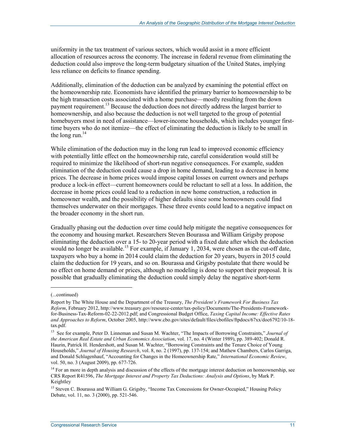uniformity in the tax treatment of various sectors, which would assist in a more efficient allocation of resources across the economy. The increase in federal revenue from eliminating the deduction could also improve the long-term budgetary situation of the United States, implying less reliance on deficits to finance spending.

Additionally, elimination of the deduction can be analyzed by examining the potential effect on the homeownership rate. Economists have identified the primary barrier to homeownership to be the high transaction costs associated with a home purchase—mostly resulting from the down payment requirement.<sup>13</sup> Because the deduction does not directly address the largest barrier to homeownership, and also because the deduction is not well targeted to the group of potential homebuyers most in need of assistance—lower-income households, which includes younger firsttime buyers who do not itemize—the effect of eliminating the deduction is likely to be small in the long run. $14$ 

While elimination of the deduction may in the long run lead to improved economic efficiency with potentially little effect on the homeownership rate, careful consideration would still be required to minimize the likelihood of short-run negative consequences. For example, sudden elimination of the deduction could cause a drop in home demand, leading to a decrease in home prices. The decrease in home prices would impose capital losses on current owners and perhaps produce a lock-in effect—current homeowners could be reluctant to sell at a loss. In addition, the decrease in home prices could lead to a reduction in new home construction, a reduction in homeowner wealth, and the possibility of higher defaults since some homeowners could find themselves underwater on their mortgages. These three events could lead to a negative impact on the broader economy in the short run.

Gradually phasing out the deduction over time could help mitigate the negative consequences for the economy and housing market. Researchers Steven Bourassa and William Grigsby propose eliminating the deduction over a 15- to 20-year period with a fixed date after which the deduction would no longer be available.<sup>15</sup> For example, if January 1, 2034, were chosen as the cut-off date, taxpayers who buy a home in 2014 could claim the deduction for 20 years, buyers in 2015 could claim the deduction for 19 years, and so on. Bourassa and Grigsby postulate that there would be no effect on home demand or prices, although no modeling is done to support their proposal. It is possible that gradually eliminating the deduction could simply delay the negative short-term

 $\overline{a}$ 

<sup>(...</sup>continued)

Report by The White House and the Department of the Treasury, *The President's Framework For Business Tax Reform*, February 2012, http://www.treasury.gov/resource-center/tax-policy/Documents/The-Presidents-Frameworkfor-Business-Tax-Reform-02-22-2012.pdf; and Congressional Budget Office, *Taxing Capital Income: Effective Rates and Approaches to Reform*, October 2005, http://www.cbo.gov/sites/default/files/cbofiles/ftpdocs/67xx/doc6792/10-18 tax.pdf.

<sup>13</sup> See for example, Peter D. Linneman and Susan M. Wachter, "The Impacts of Borrowing Constraints," *Journal of the American Real Estate and Urban Economics Association*, vol. 17, no. 4 (Winter 1989), pp. 389-402; Donald R. Haurin, Patrick H. Hendershott, and Susan M. Wachter, "Borrowing Constraints and the Tenure Choice of Young Households," *Journal of Housing Research*, vol. 8, no. 2 (1997), pp. 137-154; and Mathew Chambers, Carlos Garriga, and Donald Schlagenhauf, "Accounting for Changes in the Homeownership Rate," *International Economic Review*, vol. 50, no. 3 (August 2009), pp. 677-726.

<sup>&</sup>lt;sup>14</sup> For an more in depth analysis and discussion of the effects of the mortgage interest deduction on homeownership, see CRS Report R41596, *The Mortgage Interest and Property Tax Deductions: Analysis and Options*, by Mark P. Keightley

<sup>&</sup>lt;sup>15</sup> Steven C. Bourassa and William G. Grigsby, "Income Tax Concessions for Owner-Occupied," Housing Policy Debate, vol. 11, no. 3 (2000), pp. 521-546.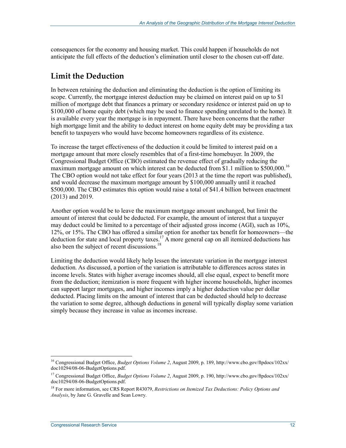consequences for the economy and housing market. This could happen if households do not anticipate the full effects of the deduction's elimination until closer to the chosen cut-off date.

#### **Limit the Deduction**

In between retaining the deduction and eliminating the deduction is the option of limiting its scope. Currently, the mortgage interest deduction may be claimed on interest paid on up to \$1 million of mortgage debt that finances a primary or secondary residence or interest paid on up to \$100,000 of home equity debt (which may be used to finance spending unrelated to the home). It is available every year the mortgage is in repayment. There have been concerns that the rather high mortgage limit and the ability to deduct interest on home equity debt may be providing a tax benefit to taxpayers who would have become homeowners regardless of its existence.

To increase the target effectiveness of the deduction it could be limited to interest paid on a mortgage amount that more closely resembles that of a first-time homebuyer. In 2009, the Congressional Budget Office (CBO) estimated the revenue effect of gradually reducing the maximum mortgage amount on which interest can be deducted from \$1.1 million to \$500,000.<sup>16</sup> The CBO option would not take effect for four years (2013 at the time the report was published), and would decrease the maximum mortgage amount by \$100,000 annually until it reached \$500,000. The CBO estimates this option would raise a total of \$41.4 billion between enactment (2013) and 2019.

Another option would be to leave the maximum mortgage amount unchanged, but limit the amount of interest that could be deducted. For example, the amount of interest that a taxpayer may deduct could be limited to a percentage of their adjusted gross income (AGI), such as 10%, 12%, or 15%. The CBO has offered a similar option for another tax benefit for homeowners—the deduction for state and local property taxes.<sup>17</sup> A more general cap on all itemized deductions has also been the subject of recent discussions.<sup>18</sup>

Limiting the deduction would likely help lessen the interstate variation in the mortgage interest deduction. As discussed, a portion of the variation is attributable to differences across states in income levels. States with higher average incomes should, all else equal, expect to benefit more from the deduction; itemization is more frequent with higher income households, higher incomes can support larger mortgages, and higher incomes imply a higher deduction value per dollar deducted. Placing limits on the amount of interest that can be deducted should help to decrease the variation to some degree, although deductions in general will typically display some variation simply because they increase in value as incomes increase.

1

<sup>16</sup> Congressional Budget Office, *Budget Options Volume 2*, August 2009, p. 189, http://www.cbo.gov/ftpdocs/102xx/ doc10294/08-06-BudgetOptions.pdf.

<sup>17</sup> Congressional Budget Office, *Budget Options Volume 2*, August 2009, p. 190, http://www.cbo.gov/ftpdocs/102xx/ doc10294/08-06-BudgetOptions.pdf.

<sup>18</sup> For more information, see CRS Report R43079, *Restrictions on Itemized Tax Deductions: Policy Options and Analysis*, by Jane G. Gravelle and Sean Lowry.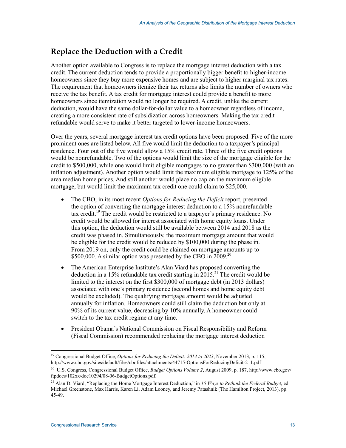### **Replace the Deduction with a Credit**

Another option available to Congress is to replace the mortgage interest deduction with a tax credit. The current deduction tends to provide a proportionally bigger benefit to higher-income homeowners since they buy more expensive homes and are subject to higher marginal tax rates. The requirement that homeowners itemize their tax returns also limits the number of owners who receive the tax benefit. A tax credit for mortgage interest could provide a benefit to more homeowners since itemization would no longer be required. A credit, unlike the current deduction, would have the same dollar-for-dollar value to a homeowner regardless of income, creating a more consistent rate of subsidization across homeowners. Making the tax credit refundable would serve to make it better targeted to lower-income homeowners.

Over the years, several mortgage interest tax credit options have been proposed. Five of the more prominent ones are listed below. All five would limit the deduction to a taxpayer's principal residence. Four out of the five would allow a 15% credit rate. Three of the five credit options would be nonrefundable. Two of the options would limit the size of the mortgage eligible for the credit to \$500,000, while one would limit eligible mortgages to no greater than \$300,000 (with an inflation adjustment). Another option would limit the maximum eligible mortgage to 125% of the area median home prices. And still another would place no cap on the maximum eligible mortgage, but would limit the maximum tax credit one could claim to \$25,000.

- The CBO, in its most recent *Options for Reducing the Deficit* report, presented the option of converting the mortgage interest deduction to a 15% nonrefundable tax credit.19 The credit would be restricted to a taxpayer's primary residence. No credit would be allowed for interest associated with home equity loans. Under this option, the deduction would still be available between 2014 and 2018 as the credit was phased in. Simultaneously, the maximum mortgage amount that would be eligible for the credit would be reduced by \$100,000 during the phase in. From 2019 on, only the credit could be claimed on mortgage amounts up to \$500,000. A similar option was presented by the CBO in  $2009$ <sup>20</sup>
- The American Enterprise Institute's Alan Viard has proposed converting the deduction in a 15% refundable tax credit starting in  $2015<sup>21</sup>$  The credit would be limited to the interest on the first \$300,000 of mortgage debt (in 2013 dollars) associated with one's primary residence (second homes and home equity debt would be excluded). The qualifying mortgage amount would be adjusted annually for inflation. Homeowners could still claim the deduction but only at 90% of its current value, decreasing by 10% annually. A homeowner could switch to the tax credit regime at any time.
- President Obama's National Commission on Fiscal Responsibility and Reform (Fiscal Commission) recommended replacing the mortgage interest deduction

<sup>1</sup> 19 Congressional Budget Office, *Options for Reducing the Deficit: 2014 to 2023*, November 2013, p. 115, http://www.cbo.gov/sites/default/files/cbofiles/attachments/44715-OptionsForReducingDeficit-2\_1.pdf

<sup>20</sup> U.S. Congress, Congressional Budget Office, *Budget Options Volume 2*, August 2009, p. 187, http://www.cbo.gov/ ftpdocs/102xx/doc10294/08-06-BudgetOptions.pdf.

<sup>21</sup> Alan D. Viard, "Replacing the Home Mortgage Interest Deduction," in *15 Ways to Rethink the Federal Budget*, ed. Michael Greenstone, Max Harris, Karen Li, Adam Looney, and Jeremy Patashnik (The Hamilton Project, 2013), pp. 45-49.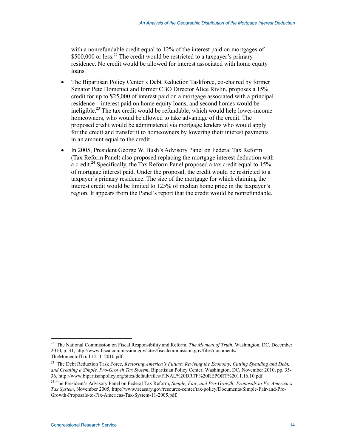with a nonrefundable credit equal to 12% of the interest paid on mortgages of  $$500,000$  or less.<sup>22</sup> The credit would be restricted to a taxpayer's primary residence. No credit would be allowed for interest associated with home equity loans.

- The Bipartisan Policy Center's Debt Reduction Taskforce, co-chaired by former Senator Pete Domenici and former CBO Director Alice Rivlin, proposes a 15% credit for up to \$25,000 of interest paid on a mortgage associated with a principal residence—interest paid on home equity loans, and second homes would be ineligible.23 The tax credit would be refundable, which would help lower-income homeowners, who would be allowed to take advantage of the credit. The proposed credit would be administered via mortgage lenders who would apply for the credit and transfer it to homeowners by lowering their interest payments in an amount equal to the credit.
- In 2005, President George W. Bush's Advisory Panel on Federal Tax Reform (Tax Reform Panel) also proposed replacing the mortgage interest deduction with a credit.<sup>24</sup> Specifically, the Tax Reform Panel proposed a tax credit equal to 15% of mortgage interest paid. Under the proposal, the credit would be restricted to a taxpayer's primary residence. The size of the mortgage for which claiming the interest credit would be limited to 125% of median home price in the taxpayer's region. It appears from the Panel's report that the credit would be nonrefundable.

1

<sup>&</sup>lt;sup>22</sup> The National Commission on Fiscal Responsibility and Reform, *The Moment of Truth*, Washington, DC, December 2010, p. 31, http://www.fiscalcommission.gov/sites/fiscalcommission.gov/files/documents/ TheMomentofTruth12\_1\_2010.pdf.

<sup>23</sup> The Debt Reduction Task Force, *Restoring America's Future: Reviving the Economy, Cutting Spending and Debt, and Creating a Simple, Pro-Growth Tax System*, Bipartisian Policy Center, Washington, DC, November 2010, pp. 35- 36, http://www.bipartisanpolicy.org/sites/default/files/FINAL%20DRTF%20REPORT%2011.16.10.pdf.

<sup>24</sup> The President's Advisory Panel on Federal Tax Reform, *Simple, Fair, and Pro-Growth: Proposals to Fix America's Tax System*, November 2005, http://www.treasury.gov/resource-center/tax-policy/Documents/Simple-Fair-and-Pro-Growth-Proposals-to-Fix-Americas-Tax-System-11-2005.pdf.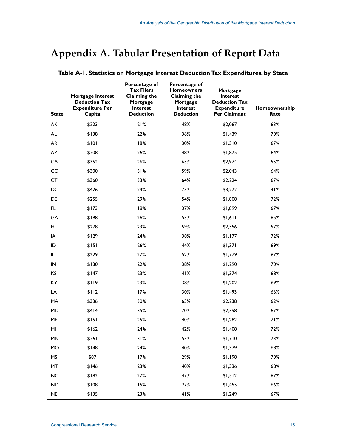## **Appendix A. Tabular Presentation of Report Data**

| <b>State</b> | Mortgage Interest<br><b>Deduction Tax</b><br><b>Expenditure Per</b><br>Capita | Percentage of<br><b>Tax Filers</b><br><b>Claiming the</b><br>Mortgage<br>Interest<br><b>Deduction</b> | Percentage of<br><b>Homeowners</b><br><b>Claiming the</b><br>Mortgage<br>Interest<br><b>Deduction</b> | Mortgage<br><b>Interest</b><br><b>Deduction Tax</b><br><b>Expenditure</b><br>Per Claimant | Homeownership<br>Rate |
|--------------|-------------------------------------------------------------------------------|-------------------------------------------------------------------------------------------------------|-------------------------------------------------------------------------------------------------------|-------------------------------------------------------------------------------------------|-----------------------|
| AK           | \$223                                                                         | 21%                                                                                                   | 48%                                                                                                   | \$2,067                                                                                   | 63%                   |
| AL           | \$138                                                                         | 22%                                                                                                   | 36%                                                                                                   | \$1,439                                                                                   | 70%                   |
| <b>AR</b>    | \$101                                                                         | 18%                                                                                                   | 30%                                                                                                   | \$1,310                                                                                   | 67%                   |
| AZ           | \$208                                                                         | 26%                                                                                                   | 48%                                                                                                   | \$1,875                                                                                   | 64%                   |
| CA           | \$352                                                                         | 26%                                                                                                   | 65%                                                                                                   | \$2,974                                                                                   | 55%                   |
| CO           | \$300                                                                         | 31%                                                                                                   | 59%                                                                                                   | \$2,043                                                                                   | 64%                   |
| <b>CT</b>    | \$360                                                                         | 33%                                                                                                   | 64%                                                                                                   | \$2,224                                                                                   | 67%                   |
| DC           | \$426                                                                         | 24%                                                                                                   | 73%                                                                                                   | \$3,272                                                                                   | 41%                   |
| DE           | \$255                                                                         | 29%                                                                                                   | 54%                                                                                                   | \$1,808                                                                                   | 72%                   |
| FL.          | \$173                                                                         | 18%                                                                                                   | 37%                                                                                                   | \$1,899                                                                                   | 67%                   |
| GA           | \$198                                                                         | 26%                                                                                                   | 53%                                                                                                   | \$1,611                                                                                   | 65%                   |
| HI           | \$278                                                                         | 23%                                                                                                   | 59%                                                                                                   | \$2,556                                                                                   | 57%                   |
| IA           | \$129                                                                         | 24%                                                                                                   | 38%                                                                                                   | \$1,177                                                                                   | 72%                   |
| ID           | \$151                                                                         | 26%                                                                                                   | 44%                                                                                                   | \$1,371                                                                                   | 69%                   |
| IL.          | \$229                                                                         | 27%                                                                                                   | 52%                                                                                                   | \$1,779                                                                                   | 67%                   |
| $\sf IN$     | \$130                                                                         | 22%                                                                                                   | 38%                                                                                                   | \$1,290                                                                                   | 70%                   |
| KS           | \$147                                                                         | 23%                                                                                                   | 41%                                                                                                   | \$1,374                                                                                   | 68%                   |
| KY           | \$119                                                                         | 23%                                                                                                   | 38%                                                                                                   | \$1,202                                                                                   | 69%                   |
| LA           | \$112                                                                         | 17%                                                                                                   | 30%                                                                                                   | \$1,493                                                                                   | 66%                   |
| MA           | \$336                                                                         | 30%                                                                                                   | 63%                                                                                                   | \$2,238                                                                                   | 62%                   |
| MD           | \$414                                                                         | 35%                                                                                                   | 70%                                                                                                   | \$2,398                                                                                   | 67%                   |
| ME           | \$151                                                                         | 25%                                                                                                   | 40%                                                                                                   | \$1,282                                                                                   | 71%                   |
| MI           | \$162                                                                         | 24%                                                                                                   | 42%                                                                                                   | \$1,408                                                                                   | 72%                   |
| MN           | \$261                                                                         | 31%                                                                                                   | 53%                                                                                                   | \$1,710                                                                                   | 73%                   |
| MO           | \$148                                                                         | 24%                                                                                                   | 40%                                                                                                   | \$1,379                                                                                   | 68%                   |
| MS           | \$87                                                                          | 17%                                                                                                   | 29%                                                                                                   | \$1,198                                                                                   | 70%                   |
| MT           | \$146                                                                         | 23%                                                                                                   | 40%                                                                                                   | \$1,336                                                                                   | 68%                   |
| $NC$         | \$182                                                                         | 27%                                                                                                   | 47%                                                                                                   | \$1,512                                                                                   | 67%                   |
| ND           | \$108                                                                         | 15%                                                                                                   | 27%                                                                                                   | \$1,455                                                                                   | 66%                   |
| $\sf NE$     | \$135                                                                         | 23%                                                                                                   | 41%                                                                                                   | \$1,249                                                                                   | 67%                   |

#### **Table A-1. Statistics on Mortgage Interest Deduction Tax Expenditures, by State**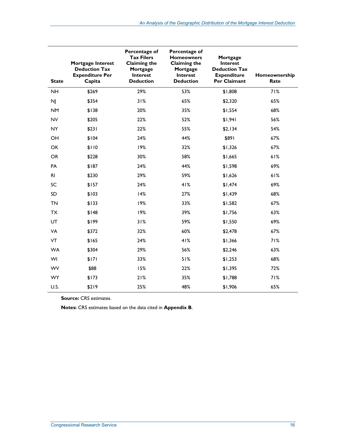| <b>State</b>   | Mortgage Interest<br><b>Deduction Tax</b><br><b>Expenditure Per</b><br>Capita | Percentage of<br><b>Tax Filers</b><br><b>Claiming the</b><br>Mortgage<br><b>Interest</b><br><b>Deduction</b> | Percentage of<br><b>Homeowners</b><br><b>Claiming the</b><br>Mortgage<br><b>Interest</b><br><b>Deduction</b> | Mortgage<br>Interest<br><b>Deduction Tax</b><br><b>Expenditure</b><br>Per Claimant | Homeownership<br>Rate |
|----------------|-------------------------------------------------------------------------------|--------------------------------------------------------------------------------------------------------------|--------------------------------------------------------------------------------------------------------------|------------------------------------------------------------------------------------|-----------------------|
| <b>NH</b>      | \$269                                                                         | 29%                                                                                                          | 53%                                                                                                          | \$1,808                                                                            | 71%                   |
| <b>NJ</b>      | \$354                                                                         | 31%                                                                                                          | 65%                                                                                                          | \$2,320                                                                            | 65%                   |
| <b>NM</b>      | \$138                                                                         | 20%                                                                                                          | 35%                                                                                                          | \$1,554                                                                            | 68%                   |
| <b>NV</b>      | \$205                                                                         | 22%                                                                                                          | 52%                                                                                                          | \$1,941                                                                            | 56%                   |
| <b>NY</b>      | \$231                                                                         | 22%                                                                                                          | 55%                                                                                                          | \$2,134                                                                            | 54%                   |
| OH             | \$104                                                                         | 24%                                                                                                          | 44%                                                                                                          | \$891                                                                              | 67%                   |
| OK             | \$110                                                                         | 19%                                                                                                          | 32%                                                                                                          | \$1,326                                                                            | 67%                   |
| OR             | \$228                                                                         | 30%                                                                                                          | 58%                                                                                                          | \$1,665                                                                            | 61%                   |
| PA             | \$187                                                                         | 24%                                                                                                          | 44%                                                                                                          | \$1,598                                                                            | 69%                   |
| R <sub>l</sub> | \$230                                                                         | 29%                                                                                                          | 59%                                                                                                          | \$1,626                                                                            | 61%                   |
| SC             | \$157                                                                         | 24%                                                                                                          | 41%                                                                                                          | \$1,474                                                                            | 69%                   |
| SD             | \$103                                                                         | 14%                                                                                                          | 27%                                                                                                          | \$1,439                                                                            | 68%                   |
| <b>TN</b>      | \$133                                                                         | 19%                                                                                                          | 33%                                                                                                          | \$1,582                                                                            | 67%                   |
| <b>TX</b>      | \$148                                                                         | 19%                                                                                                          | 39%                                                                                                          | \$1,756                                                                            | 63%                   |
| UT             | \$199                                                                         | 31%                                                                                                          | 59%                                                                                                          | \$1,550                                                                            | 69%                   |
| VA             | \$372                                                                         | 32%                                                                                                          | 60%                                                                                                          | \$2,478                                                                            | 67%                   |
| VT             | \$165                                                                         | 24%                                                                                                          | 41%                                                                                                          | \$1,366                                                                            | 71%                   |
| <b>WA</b>      | \$304                                                                         | 29%                                                                                                          | 56%                                                                                                          | \$2,246                                                                            | 63%                   |
| WI             | \$171                                                                         | 33%                                                                                                          | 51%                                                                                                          | \$1,253                                                                            | 68%                   |
| <b>WV</b>      | \$88                                                                          | 15%                                                                                                          | 22%                                                                                                          | \$1,395                                                                            | 72%                   |
| WY             | \$173                                                                         | 21%                                                                                                          | 35%                                                                                                          | \$1,788                                                                            | 71%                   |
| U.S.           | \$219                                                                         | 25%                                                                                                          | 48%                                                                                                          | \$1,906                                                                            | 65%                   |

**Source: CRS estimates.** 

**Notes:** CRS estimates based on the data cited in **Appendix B**.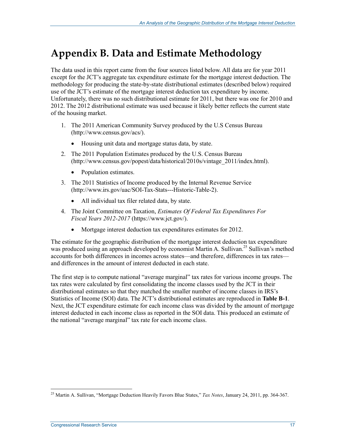## **Appendix B. Data and Estimate Methodology**

The data used in this report came from the four sources listed below. All data are for year 2011 except for the JCT's aggregate tax expenditure estimate for the mortgage interest deduction. The methodology for producing the state-by-state distributional estimates (described below) required use of the JCT's estimate of the mortgage interest deduction tax expenditure by income. Unfortunately, there was no such distributional estimate for 2011, but there was one for 2010 and 2012. The 2012 distributional estimate was used because it likely better reflects the current state of the housing market.

- 1. The 2011 American Community Survey produced by the U.S Census Bureau (http://www.census.gov/acs/).
	- Housing unit data and mortgage status data, by state.
- 2. The 2011 Population Estimates produced by the U.S. Census Bureau (http://www.census.gov/popest/data/historical/2010s/vintage\_2011/index.html).
	- Population estimates.
- 3. The 2011 Statistics of Income produced by the Internal Revenue Service (http://www.irs.gov/uac/SOI-Tax-Stats---Historic-Table-2).
	- All individual tax filer related data, by state.
- 4. The Joint Committee on Taxation, *Estimates Of Federal Tax Expenditures For Fiscal Years 2012-2017* (https://www.jct.gov/).
	- Mortgage interest deduction tax expenditures estimates for 2012.

The estimate for the geographic distribution of the mortgage interest deduction tax expenditure was produced using an approach developed by economist Martin A. Sullivan.<sup>25</sup> Sullivan's method accounts for both differences in incomes across states—and therefore, differences in tax rates and differences in the amount of interest deducted in each state.

The first step is to compute national "average marginal" tax rates for various income groups. The tax rates were calculated by first consolidating the income classes used by the JCT in their distributional estimates so that they matched the smaller number of income classes in IRS's Statistics of Income (SOI) data. The JCT's distributional estimates are reproduced in **Table B-1**. Next, the JCT expenditure estimate for each income class was divided by the amount of mortgage interest deducted in each income class as reported in the SOI data. This produced an estimate of the national "average marginal" tax rate for each income class.

<u>.</u>

<sup>25</sup> Martin A. Sullivan, "Mortgage Deduction Heavily Favors Blue States," *Tax Notes*, January 24, 2011, pp. 364-367.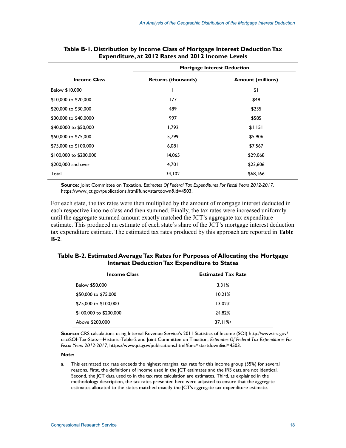|                        | <b>Mortgage Interest Deduction</b> |                          |  |  |
|------------------------|------------------------------------|--------------------------|--|--|
| <b>Income Class</b>    | <b>Returns (thousands)</b>         | <b>Amount (millions)</b> |  |  |
| Below \$10,000         |                                    | \$1                      |  |  |
| \$10,000 to \$20,000   | 177                                | \$48                     |  |  |
| \$20,000 to \$30,000   | 489                                | \$235                    |  |  |
| \$30,000 to \$40,0000  | 997                                | \$585                    |  |  |
| \$40,0000 to \$50,000  | 1,792                              | \$1,151                  |  |  |
| \$50,000 to \$75,000   | 5.799                              | \$5,906                  |  |  |
| \$75,000 to \$100,000  | 6,081                              | \$7,567                  |  |  |
| \$100,000 to \$200,000 | 14,065                             | \$29,068                 |  |  |
| \$200,000 and over     | 4,701                              | \$23,606                 |  |  |
| Total                  | 34,102                             | \$68,166                 |  |  |

#### **Table B-1. Distribution by Income Class of Mortgage Interest Deduction Tax Expenditure, at 2012 Rates and 2012 Income Levels**

**Source:** Joint Committee on Taxation, *Estimates Of Federal Tax Expenditures For Fiscal Years 2012-2017,*  https://www.jct.gov/publications.html?func=startdown&id=4503.

For each state, the tax rates were then multiplied by the amount of mortgage interest deducted in each respective income class and then summed. Finally, the tax rates were increased uniformly until the aggregate summed amount exactly matched the JCT's aggregate tax expenditure estimate. This produced an estimate of each state's share of the JCT's mortgage interest deduction tax expenditure estimate. The estimated tax rates produced by this approach are reported in **Table B-2**.

#### **Table B-2. Estimated Average Tax Rates for Purposes of Allocating the Mortgage Interest Deduction Tax Expenditure to States**

| <b>Income Class</b>    | <b>Estimated Tax Rate</b> |
|------------------------|---------------------------|
| Below \$50,000         | 3.31%                     |
| \$50,000 to \$75,000   | 10.21%                    |
| \$75,000 to \$100,000  | 13.02%                    |
| \$100,000 to \$200,000 | 24.82%                    |
| Above \$200,000        | 37.11%                    |

**Source:** CRS calculations using Internal Revenue Service's 2011 Statistics of Income (SOI) http://www.irs.gov/ uac/SOI-Tax-Stats---Historic-Table-2 and Joint Committee on Taxation, *Estimates Of Federal Tax Expenditures For Fiscal Years 2012-2017,* https://www.jct.gov/publications.html?func=startdown&id=4503.

#### **Note:**

a. This estimated tax rate exceeds the highest marginal tax rate for this income group (35%) for several reasons. First, the definitions of income used in the JCT estimates and the IRS data are not identical. Second, the JCT data used to in the tax rate calculation are estimates. Third, as explained in the methodology description, the tax rates presented here were adjusted to ensure that the aggregate estimates allocated to the states matched exactly the JCT's aggregate tax expenditure estimate.